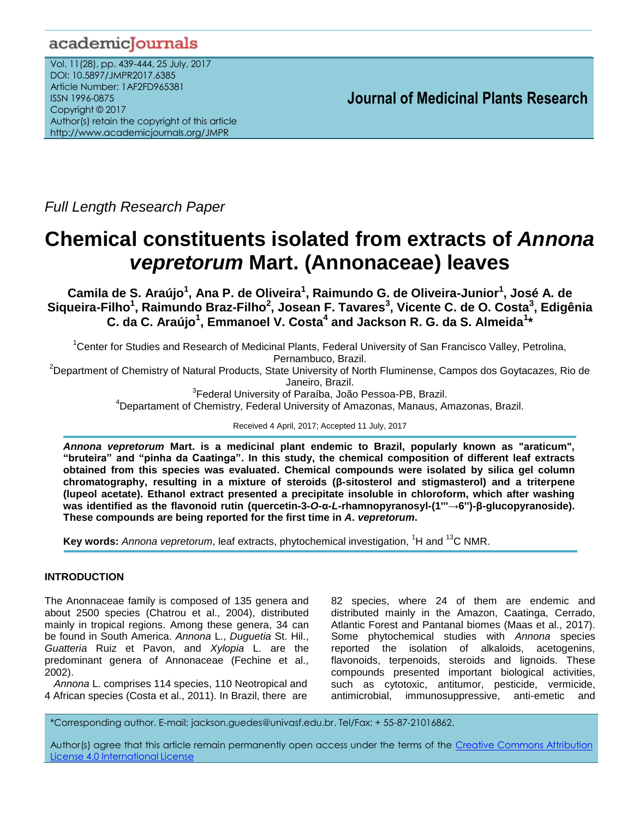# academicJournals

Vol. 11(28), pp. 439-444, 25 July, 2017 DOI: 10.5897/JMPR2017.6385 Article Number: 1AF2FD965381 ISSN 1996-0875 Copyright © 2017 Author(s) retain the copyright of this article http://www.academicjournals.org/JMPR

 **Journal of Medicinal Plants Research**

*Full Length Research Paper*

# **Chemical constituents isolated from extracts of** *Annona vepretorum* **Mart. (Annonaceae) leaves**

**Camila de S. Araújo<sup>1</sup> , Ana P. de Oliveira<sup>1</sup> , Raimundo G. de Oliveira-Junior<sup>1</sup> , José A. de Siqueira-Filho<sup>1</sup> , Raimundo Braz-Filho<sup>2</sup> , Josean F. Tavares<sup>3</sup> , Vicente C. de O. Costa<sup>3</sup> , Edigênia C. da C. Araújo<sup>1</sup> , Emmanoel V. Costa<sup>4</sup> and Jackson R. G. da S. Almeida<sup>1</sup> \***

<sup>1</sup>Center for Studies and Research of Medicinal Plants, Federal University of San Francisco Valley, Petrolina, Pernambuco, Brazil.

<sup>2</sup>Department of Chemistry of Natural Products, State University of North Fluminense, Campos dos Goytacazes, Rio de Janeiro, Brazil.

<sup>3</sup>Federal University of Paraíba, João Pessoa-PB, Brazil.

<sup>4</sup>Departament of Chemistry, Federal University of Amazonas, Manaus, Amazonas, Brazil.

Received 4 April, 2017; Accepted 11 July, 2017

*Annona vepretorum* **Mart. is a medicinal plant endemic to Brazil, popularly known as "araticum", "bruteira" and "pinha da Caatinga". In this study, the chemical composition of different leaf extracts obtained from this species was evaluated. Chemical compounds were isolated by silica gel column chromatography, resulting in a mixture of steroids (β-sitosterol and stigmasterol) and a triterpene (lupeol acetate). Ethanol extract presented a precipitate insoluble in chloroform, which after washing was identified as the flavonoid rutin (quercetin-3-***O***-α-***L***-rhamnopyranosyl-(1'''→6'')-β-glucopyranoside). These compounds are being reported for the first time in** *A***.** *vepretorum***.**

**Key words:** *Annona vepretorum*, leaf extracts, phytochemical investigation, <sup>1</sup>H and <sup>13</sup>C NMR.

# **INTRODUCTION**

The Anonnaceae family is composed of 135 genera and about 2500 species (Chatrou et al., 2004), distributed mainly in tropical regions. Among these genera, 34 can be found in South America. *Annona* L., *Duguetia* St. Hil., *Guatteria* Ruiz et Pavon, and *Xylopia* L. are the predominant genera of Annonaceae (Fechine et al., 2002).

*Annona* L. comprises 114 species, 110 Neotropical and 4 African species (Costa et al., 2011). In Brazil, there are

82 species, where 24 of them are endemic and distributed mainly in the Amazon, Caatinga, Cerrado, Atlantic Forest and Pantanal biomes (Maas et al., 2017). Some phytochemical studies with *Annona* species reported the isolation of alkaloids, acetogenins, flavonoids, terpenoids, steroids and lignoids. These compounds presented important biological activities, such as cytotoxic, antitumor, pesticide, vermicide, antimicrobial, immunosuppressive, anti-emetic and

\*Corresponding author. E-mail: jackson.guedes@univasf.edu.br. Tel/Fax: + 55-87-21016862.

Author(s) agree that this article remain permanently open access under the terms of the Creative Commons Attribution License 4.0 [International](http://creativecommons.org/licenses/by/4.0/deed.en_US) License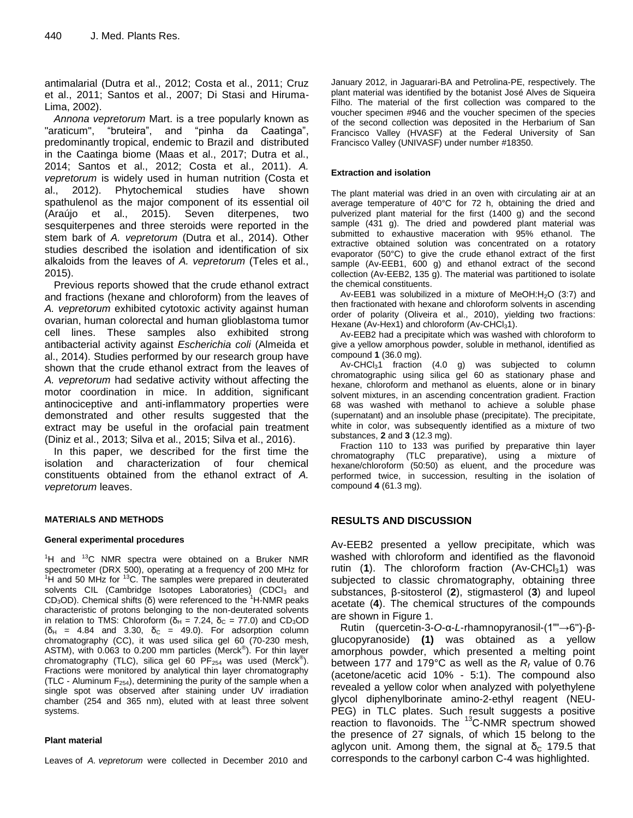antimalarial (Dutra et al., 2012; Costa et al., 2011; Cruz et al., 2011; Santos et al., 2007; Di Stasi and Hiruma-Lima, 2002).

*Annona vepretorum* Mart. is a tree popularly known as "araticum", "bruteira", and "pinha da Caatinga", predominantly tropical, endemic to Brazil and distributed in the Caatinga biome (Maas et al., 2017; Dutra et al., 2014; Santos et al., 2012; Costa et al., 2011). *A. vepretorum* is widely used in human nutrition (Costa et al., 2012). Phytochemical studies have shown spathulenol as the major component of its essential oil (Araújo et al., 2015). Seven diterpenes, two sesquiterpenes and three steroids were reported in the stem bark of *A. vepretorum* (Dutra et al., 2014). Other studies described the isolation and identification of six alkaloids from the leaves of *A. vepretorum* (Teles et al., 2015).

Previous reports showed that the crude ethanol extract and fractions (hexane and chloroform) from the leaves of *A. vepretorum* exhibited cytotoxic activity against human ovarian, human colorectal and human glioblastoma tumor cell lines. These samples also exhibited strong antibacterial activity against *Escherichia coli* (Almeida et al., 2014). Studies performed by our research group have shown that the crude ethanol extract from the leaves of *A. vepretorum* had sedative activity without affecting the motor coordination in mice. In addition, significant antinociceptive and anti-inflammatory properties were demonstrated and other results suggested that the extract may be useful in the orofacial pain treatment (Diniz et al., 2013; Silva et al., 2015; Silva et al., 2016).

In this paper, we described for the first time the isolation and characterization of four chemical constituents obtained from the ethanol extract of *A. vepretorum* leaves.

#### **MATERIALS AND METHODS**

#### **General experimental procedures**

 ${}^{1}$ H and  ${}^{13}$ C NMR spectra were obtained on a Bruker NMR spectrometer (DRX 500), operating at a frequency of 200 MHz for  $1H$  and 50 MHz for  $13C$ . The samples were prepared in deuterated solvents CIL (Cambridge Isotopes Laboratories) (CDCI<sub>3</sub> and CD<sub>3</sub>OD). Chemical shifts (δ) were referenced to the <sup>1</sup>H-NMR peaks characteristic of protons belonging to the non-deuterated solvents in relation to TMS: Chloroform ( $\delta_H$  = 7.24,  $\delta_C$  = 77.0) and CD<sub>3</sub>OD ( $\delta_H$  = 4.84 and 3.30,  $\delta_C$  = 49.0). For adsorption column chromatography (CC), it was used silica gel 60 (70-230 mesh, ASTM), with 0.063 to 0.200 mm particles (Merck® ). For thin layer chromatography (TLC), silica gel 60 PF<sub>254</sub> was used (Merck®). Fractions were monitored by analytical thin layer chromatography (TLC - Aluminum  $F_{254}$ ), determining the purity of the sample when a single spot was observed after staining under UV irradiation chamber (254 and 365 nm), eluted with at least three solvent systems.

#### **Plant material**

Leaves of *A. vepretorum* were collected in December 2010 and

January 2012, in Jaguarari-BA and Petrolina-PE, respectively. The plant material was identified by the botanist José Alves de Siqueira Filho. The material of the first collection was compared to the voucher specimen #946 and the voucher specimen of the species of the second collection was deposited in the Herbarium of San Francisco Valley (HVASF) at the Federal University of San Francisco Valley (UNIVASF) under number #18350.

#### **Extraction and isolation**

The plant material was dried in an oven with circulating air at an average temperature of 40°C for 72 h, obtaining the dried and pulverized plant material for the first (1400 g) and the second sample (431 g). The dried and powdered plant material was submitted to exhaustive maceration with 95% ethanol. The extractive obtained solution was concentrated on a rotatory evaporator (50°C) to give the crude ethanol extract of the first sample (Av-EEB1, 600 g) and ethanol extract of the second collection (Av-EEB2, 135 g). The material was partitioned to isolate the chemical constituents.

Av-EEB1 was solubilized in a mixture of MeOH: $H<sub>2</sub>O$  (3:7) and then fractionated with hexane and chloroform solvents in ascending order of polarity (Oliveira et al., 2010), yielding two fractions: Hexane (Av-Hex1) and chloroform (Av-CHCl<sub>3</sub>1).

Av-EEB2 had a precipitate which was washed with chloroform to give a yellow amorphous powder, soluble in methanol, identified as compound **1** (36.0 mg).

Av-CHCl $_3$ 1 fraction (4.0 g) was subjected to column chromatographic using silica gel 60 as stationary phase and hexane, chloroform and methanol as eluents, alone or in binary solvent mixtures, in an ascending concentration gradient. Fraction 68 was washed with methanol to achieve a soluble phase (supernatant) and an insoluble phase (precipitate). The precipitate, white in color, was subsequently identified as a mixture of two substances, **2** and **3** (12.3 mg).

Fraction 110 to 133 was purified by preparative thin layer chromatography (TLC preparative), using a mixture of hexane/chloroform (50:50) as eluent, and the procedure was performed twice, in succession, resulting in the isolation of compound **4** (61.3 mg).

#### **RESULTS AND DISCUSSION**

Av-EEB2 presented a yellow precipitate, which was washed with chloroform and identified as the flavonoid rutin  $(1)$ . The chloroform fraction  $(Av\text{-CHCl}_31)$  was subjected to classic chromatography, obtaining three substances, β-sitosterol (**2**), stigmasterol (**3**) and lupeol acetate (**4**). The chemical structures of the compounds are shown in Figure 1.

Rutin (quercetin-3-*O*-α-*L*-rhamnopyranosil-(1'''→6'')-βglucopyranoside) **(1)** was obtained as a yellow amorphous powder, which presented a melting point between 177 and 179°C as well as the *R<sup>f</sup>* value of 0.76 (acetone/acetic acid 10% - 5:1). The compound also revealed a yellow color when analyzed with polyethylene glycol diphenylborinate amino-2-ethyl reagent (NEU-PEG) in TLC plates. Such result suggests a positive reaction to flavonoids. The <sup>13</sup>C-NMR spectrum showed the presence of 27 signals, of which 15 belong to the aglycon unit. Among them, the signal at  $\delta_c$  179.5 that corresponds to the carbonyl carbon C-4 was highlighted.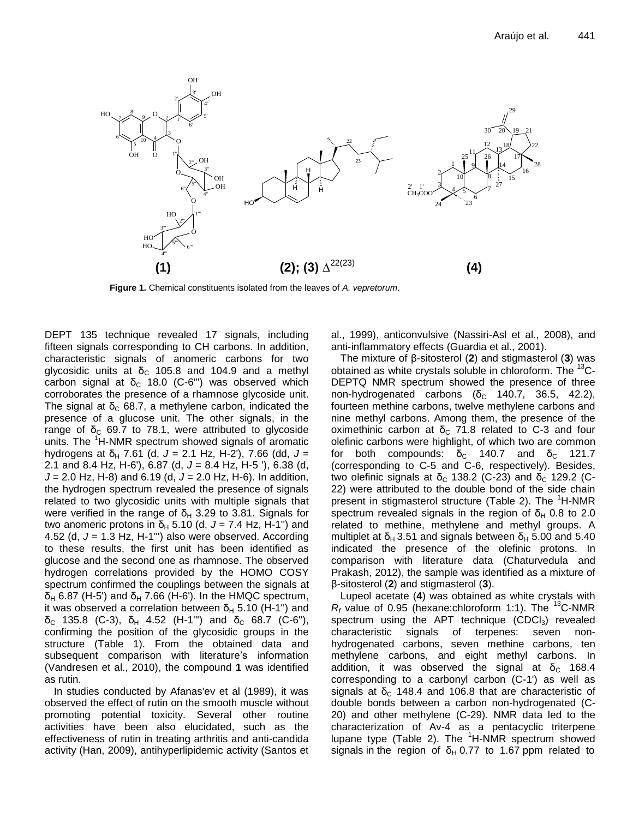

**Figure 1.** Chemical constituents isolated from the leaves of *A. vepretorum*.

DEPT 135 technique revealed 17 signals, including fifteen signals corresponding to CH carbons. In addition, characteristic signals of anomeric carbons for two glycosidic units at  $\delta_c$  105.8 and 104.9 and a methyl carbon signal at  $\delta_c$  18.0 (C-6"') was observed which corroborates the presence of a rhamnose glycoside unit. The signal at  $\delta_c$  68.7, a methylene carbon, indicated the presence of a glucose unit. The other signals, in the range of  $\delta_c$  69.7 to 78.1, were attributed to glycoside units. The <sup>1</sup>H-NMR spectrum showed signals of aromatic hydrogens at  $\delta_H$  7.61 (d,  $J = 2.1$  Hz, H-2'), 7.66 (dd,  $J =$ 2.1 and 8.4 Hz, H-6'), 6.87 (d, *J* = 8.4 Hz, H-5 '), 6.38 (d, *J* = 2.0 Hz, H-8) and 6.19 (d, *J* = 2.0 Hz, H-6). In addition, the hydrogen spectrum revealed the presence of signals related to two glycosidic units with multiple signals that were verified in the range of  $\delta_H$  3.29 to 3.81. Signals for two anomeric protons in  $\delta_H$  5.10 (d,  $J = 7.4$  Hz, H-1") and 4.52 (d, *J* = 1.3 Hz, H-1''') also were observed. According to these results, the first unit has been identified as glucose and the second one as rhamnose. The observed hydrogen correlations provided by the HOMO COSY spectrum confirmed the couplings between the signals at  $\delta_H$  6.87 (H-5') and  $\delta_H$  7.66 (H-6'). In the HMQC spectrum, it was observed a correlation between  $\delta_H$  5.10 (H-1") and δ<sub>C</sub> 135.8 (C-3), δ<sub>H</sub> 4.52 (H-1"') and δ<sub>C</sub> 68.7 (C-6"), confirming the position of the glycosidic groups in the structure (Table 1). From the obtained data and subsequent comparison with literature's information (Vandresen et al., 2010), the compound **1** was identified as rutin.

In studies conducted by Afanas'ev et al (1989), it was observed the effect of rutin on the smooth muscle without promoting potential toxicity. Several other routine activities have been also elucidated, such as the effectiveness of rutin in treating arthritis and anti-candida activity (Han, 2009), antihyperlipidemic activity (Santos et al., 1999), anticonvulsive (Nassiri-Asl et al., 2008), and anti-inflammatory effects (Guardia et al., 2001).

The mixture of β-sitosterol (**2**) and stigmasterol (**3**) was obtained as white crystals soluble in chloroform. The <sup>13</sup>C-DEPTQ NMR spectrum showed the presence of three non-hydrogenated carbons (δ<sub>c</sub> 140.7, 36.5, 42.2), fourteen methine carbons, twelve methylene carbons and nine methyl carbons. Among them, the presence of the oximethinic carbon at  $\delta_c$  71.8 related to C-3 and four olefinic carbons were highlight, of which two are common for both compounds:  $\delta_c$  140.7 and  $\delta_c$  121.7 (corresponding to C-5 and C-6, respectively). Besides, two olefinic signals at  $\delta_c$  138.2 (C-23) and  $\delta_c$  129.2 (C-22) were attributed to the double bond of the side chain present in stigmasterol structure (Table 2). The  ${}^{1}$ H-NMR spectrum revealed signals in the region of  $\delta_H$  0.8 to 2.0 related to methine, methylene and methyl groups. A multiplet at  $\delta_H$  3.51 and signals between  $\delta_H$  5.00 and 5.40 indicated the presence of the olefinic protons. In comparison with literature data (Chaturvedula and Prakash, 2012), the sample was identified as a mixture of β-sitosterol (**2**) and stigmasterol (**3**).

Lupeol acetate (**4**) was obtained as white crystals with  $R_f$  value of 0.95 (hexane:chloroform 1:1). The <sup>13</sup>C-NMR spectrum using the APT technique  $(CDCI<sub>3</sub>)$  revealed characteristic signals of terpenes: seven nonhydrogenated carbons, seven methine carbons, ten methylene carbons, and eight methyl carbons. In addition, it was observed the signal at  $\delta_c$  168.4 corresponding to a carbonyl carbon (C-1') as well as signals at  $\delta_c$  148.4 and 106.8 that are characteristic of double bonds between a carbon non-hydrogenated (C-20) and other methylene (C-29). NMR data led to the characterization of Av-4 as a pentacyclic triterpene lupane type (Table 2). The  ${}^{1}$ H-NMR spectrum showed signals in the region of  $\delta_H$  0.77 to 1.67 ppm related to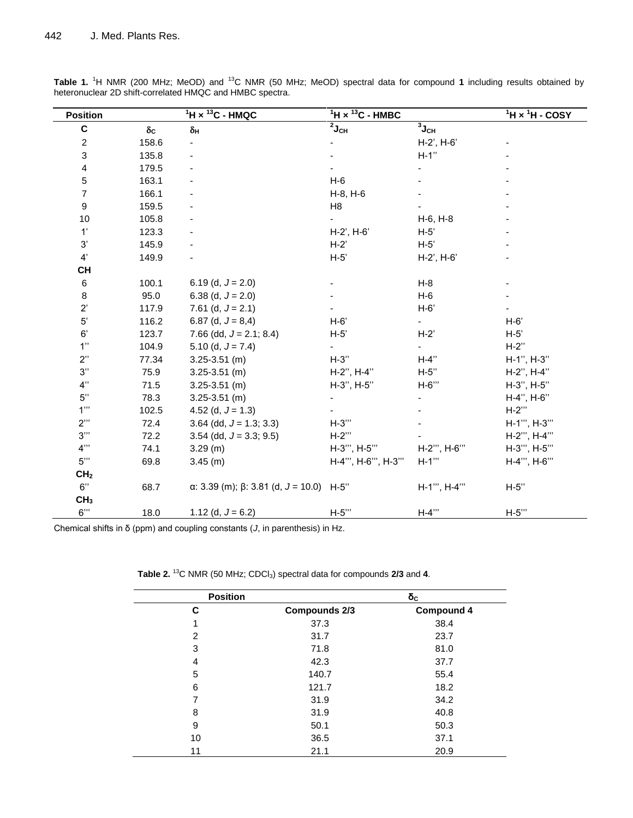| <b>Position</b>  |                     | $1H \times 13C$ - HMQC                                 | $1H \times 13C$ - HMBC          |                    | $1$ H $\times$ $1$ H - COSY |
|------------------|---------------------|--------------------------------------------------------|---------------------------------|--------------------|-----------------------------|
| $\mathbf C$      | $\delta_{\text{C}}$ | $\delta_{\mathsf{H}}$                                  | $\overline{^2}$ J <sub>CH</sub> | $3J_{CH}$          |                             |
| 2                | 158.6               |                                                        |                                 | H-2', H-6'         |                             |
| 3                | 135.8               |                                                        |                                 | $H-1"$             |                             |
| 4                | 179.5               |                                                        |                                 |                    |                             |
| $\mathbf 5$      | 163.1               |                                                        | $H-6$                           |                    |                             |
| $\overline{7}$   | 166.1               |                                                        | $H-8, H-6$                      |                    |                             |
| $\boldsymbol{9}$ | 159.5               |                                                        | H <sub>8</sub>                  |                    |                             |
| 10               | 105.8               |                                                        |                                 | H-6, H-8           |                             |
| 1'               | 123.3               |                                                        | $H-2'$ , $H-6'$                 | $H-5'$             |                             |
| $3^\circ$        | 145.9               |                                                        | $H-2'$                          | $H-5'$             |                             |
| 4'               | 149.9               |                                                        | $H-5'$                          | H-2', H-6'         |                             |
| <b>CH</b>        |                     |                                                        |                                 |                    |                             |
| 6                | 100.1               | 6.19 (d, $J = 2.0$ )                                   |                                 | $H-8$              |                             |
| 8                | 95.0                | 6.38 (d, $J = 2.0$ )                                   |                                 | $H-6$              |                             |
| $2^{\prime}$     | 117.9               | 7.61 (d, $J = 2.1$ )                                   |                                 | $H-6'$             |                             |
| $5^{\circ}$      | 116.2               | 6.87 (d, $J = 8,4$ )                                   | $H-6'$                          |                    | $H-6'$                      |
| $6^\prime$       | 123.7               | 7.66 (dd, $J = 2.1$ ; 8.4)                             | $H-5'$                          | $H-2$              | $H-5'$                      |
| 1"               | 104.9               | 5.10 (d, $J = 7.4$ )                                   |                                 |                    | $H-2"$                      |
| 2"               | 77.34               | $3.25 - 3.51$ (m)                                      | $H-3"$                          | $H-4"$             | H-1", H-3"                  |
| $3"$             | 75.9                | $3.25 - 3.51$ (m)                                      | H-2", H-4"                      | $H-5"$             | H-2", H-4"                  |
| 4"               | 71.5                | $3.25 - 3.51$ (m)                                      | H-3", H-5"                      | H-6"               | H-3", H-5"                  |
| $5"$             | 78.3                | $3.25 - 3.51$ (m)                                      |                                 |                    | H-4", H-6"                  |
| 1"               | 102.5               | 4.52 (d, $J = 1.3$ )                                   |                                 |                    | $H-2$ "                     |
| 2"               | 72.4                | $3.64$ (dd, $J = 1.3$ ; 3.3)                           | $H-3"$                          |                    | H-1"", H-3""                |
| 3"               | 72.2                | 3.54 (dd, $J = 3.3$ ; 9.5)                             | $H-2$ "                         |                    | H-2"", H-4""                |
| 4"               | 74.1                | 3.29(m)                                                | H-3"", H-5""                    | H-2"", H-6""       | H-3"", H-5""                |
| 5"               | 69.8                | $3.45$ (m)                                             | H-4"", H-6"", H-3""             | $H-1$ <sup>"</sup> | H-4"", H-6""                |
| CH <sub>2</sub>  |                     |                                                        |                                 |                    |                             |
| 6"               | 68.7                | $\alpha$ : 3.39 (m); $\beta$ : 3.81 (d, J = 10.0) H-5" |                                 | H-1"', H-4"'       | H-5"                        |
| CH <sub>3</sub>  |                     |                                                        |                                 |                    |                             |
| 6"               | 18.0                | 1.12 (d, $J = 6.2$ )                                   | $H-5"$                          | $H-4"$             | $H-5"$                      |

**Table 1.** <sup>1</sup>H NMR (200 MHz; MeOD) and <sup>13</sup>C NMR (50 MHz; MeOD) spectral data for compound **1** including results obtained by heteronuclear 2D shift-correlated HMQC and HMBC spectra.

Chemical shifts in δ (ppm) and coupling constants (*J*, in parenthesis) in Hz.

|  |  | Table 2. <sup>13</sup> C NMR (50 MHz; CDCl <sub>3</sub> ) spectral data for compounds 2/3 and 4. |
|--|--|--------------------------------------------------------------------------------------------------|
|--|--|--------------------------------------------------------------------------------------------------|

| <b>Position</b> |                      | $\delta_c$        |  |  |
|-----------------|----------------------|-------------------|--|--|
| C               | <b>Compounds 2/3</b> | <b>Compound 4</b> |  |  |
| 1               | 37.3                 | 38.4              |  |  |
| $\overline{2}$  | 31.7                 | 23.7              |  |  |
| 3               | 71.8                 | 81.0              |  |  |
| 4               | 42.3                 | 37.7              |  |  |
| 5               | 140.7                | 55.4              |  |  |
| 6               | 121.7                | 18.2              |  |  |
| 7               | 31.9                 | 34.2              |  |  |
| 8               | 31.9                 | 40.8              |  |  |
| 9               | 50.1                 | 50.3              |  |  |
| 10              | 36.5                 | 37.1              |  |  |
| 11              | 21.1                 | 20.9              |  |  |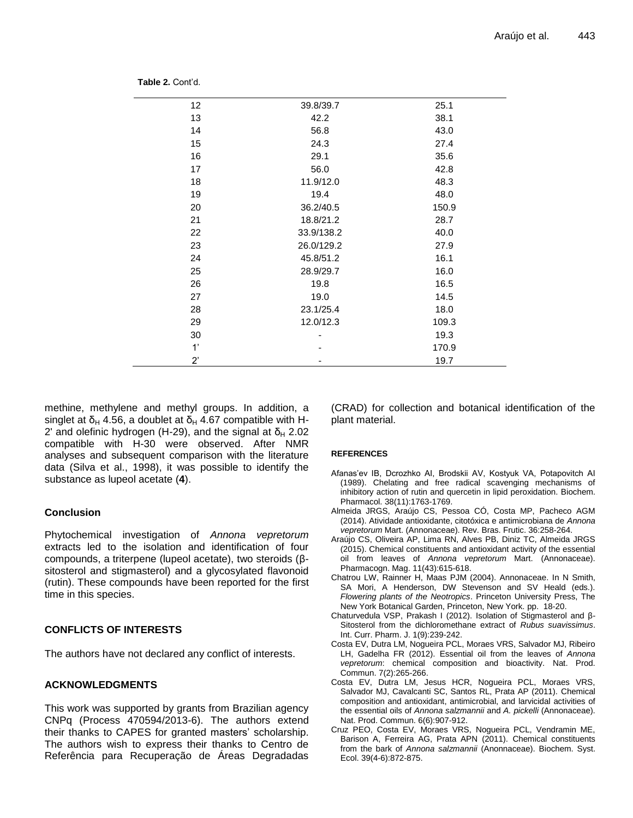| 12           | 39.8/39.7  | 25.1  |
|--------------|------------|-------|
| 13           | 42.2       | 38.1  |
| 14           | 56.8       | 43.0  |
| 15           | 24.3       | 27.4  |
| 16           | 29.1       | 35.6  |
| 17           | 56.0       | 42.8  |
| 18           | 11.9/12.0  | 48.3  |
| 19           | 19.4       | 48.0  |
| 20           | 36.2/40.5  | 150.9 |
| 21           | 18.8/21.2  | 28.7  |
| 22           | 33.9/138.2 | 40.0  |
| 23           | 26.0/129.2 | 27.9  |
| 24           | 45.8/51.2  | 16.1  |
| 25           | 28.9/29.7  | 16.0  |
| 26           | 19.8       | 16.5  |
| 27           | 19.0       | 14.5  |
| 28           | 23.1/25.4  | 18.0  |
| 29           | 12.0/12.3  | 109.3 |
| 30           |            | 19.3  |
| 1'           |            | 170.9 |
| $2^{\prime}$ |            | 19.7  |

**Table 2.** Cont'd.

methine, methylene and methyl groups. In addition, a singlet at  $\delta_H$  4.56, a doublet at  $\delta_H$  4.67 compatible with H-2' and olefinic hydrogen (H-29), and the signal at  $\delta_H$  2.02 compatible with H-30 were observed. After NMR analyses and subsequent comparison with the literature data (Silva et al., 1998), it was possible to identify the substance as lupeol acetate (**4**).

# **Conclusion**

Phytochemical investigation of *Annona vepretorum* extracts led to the isolation and identification of four compounds, a triterpene (lupeol acetate), two steroids (βsitosterol and stigmasterol) and a glycosylated flavonoid (rutin). These compounds have been reported for the first time in this species.

# **CONFLICTS OF INTERESTS**

The authors have not declared any conflict of interests.

# **ACKNOWLEDGMENTS**

This work was supported by grants from Brazilian agency CNPq (Process 470594/2013-6). The authors extend their thanks to CAPES for granted masters' scholarship. The authors wish to express their thanks to Centro de Referência para Recuperação de Áreas Degradadas (CRAD) for collection and botanical identification of the plant material.

#### **REFERENCES**

- Afanas'ev IB, Dcrozhko AI, Brodskii AV, Kostyuk VA, Potapovitch AI (1989). Chelating and free radical scavenging mechanisms of inhibitory action of rutin and quercetin in lipid peroxidation. Biochem. Pharmacol. 38(11):1763-1769.
- Almeida JRGS, Araújo CS, Pessoa CÓ, Costa MP, Pacheco AGM (2014). Atividade antioxidante, citotóxica e antimicrobiana de *Annona vepretorum* Mart. (Annonaceae). Rev. Bras. Frutic. 36:258-264.
- Araújo CS, Oliveira AP, Lima RN, Alves PB, Diniz TC, Almeida JRGS (2015). Chemical constituents and antioxidant activity of the essential oil from leaves of *Annona vepretorum* Mart. (Annonaceae). Pharmacogn. Mag. 11(43):615-618.
- Chatrou LW, Rainner H, Maas PJM (2004). Annonaceae. In N Smith, SA Mori, A Henderson, DW Stevenson and SV Heald (eds.). *Flowering plants of the Neotropics*. Princeton University Press, The New York Botanical Garden, Princeton, New York. pp. 18-20.
- Chaturvedula VSP, Prakash I (2012). Isolation of Stigmasterol and β-Sitosterol from the dichloromethane extract of *Rubus suavissimus*. Int. Curr. Pharm. J. 1(9):239-242.
- Costa EV, Dutra LM, Nogueira PCL, Moraes VRS, Salvador MJ, Ribeiro LH, Gadelha FR (2012). Essential oil from the leaves of *Annona vepretorum*: chemical composition and bioactivity. Nat. Prod. Commun. 7(2):265-266.
- Costa EV, Dutra LM, Jesus HCR, Nogueira PCL, Moraes VRS, Salvador MJ, Cavalcanti SC, Santos RL, Prata AP (2011). Chemical composition and antioxidant, antimicrobial, and larvicidal activities of the essential oils of *Annona salzmannii* and *A. pickelli* (Annonaceae). Nat. Prod. Commun. 6(6):907-912.
- Cruz PEO, Costa EV, Moraes VRS, Nogueira PCL, Vendramin ME, Barison A, Ferreira AG, Prata APN (2011). Chemical constituents from the bark of *Annona salzmannii* (Anonnaceae). Biochem. Syst. Ecol. 39(4-6):872-875.